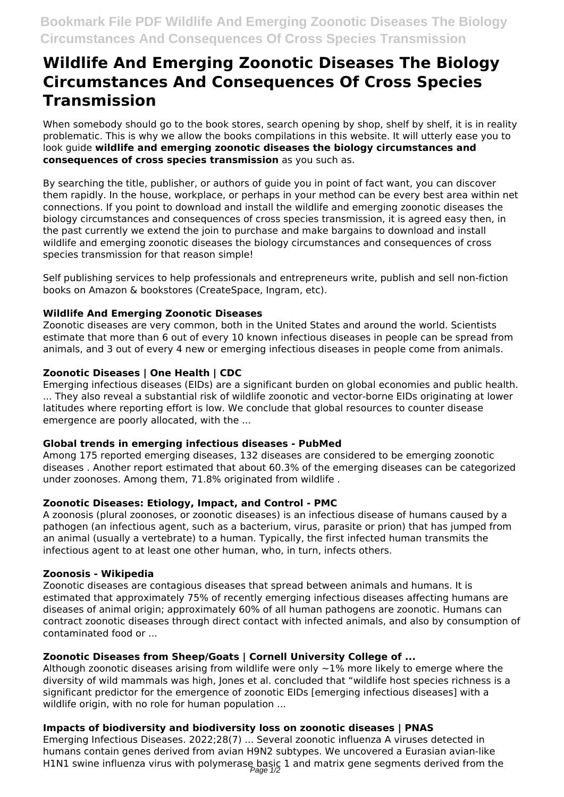# **Wildlife And Emerging Zoonotic Diseases The Biology Circumstances And Consequences Of Cross Species Transmission**

When somebody should go to the book stores, search opening by shop, shelf by shelf, it is in reality problematic. This is why we allow the books compilations in this website. It will utterly ease you to look guide **wildlife and emerging zoonotic diseases the biology circumstances and consequences of cross species transmission** as you such as.

By searching the title, publisher, or authors of guide you in point of fact want, you can discover them rapidly. In the house, workplace, or perhaps in your method can be every best area within net connections. If you point to download and install the wildlife and emerging zoonotic diseases the biology circumstances and consequences of cross species transmission, it is agreed easy then, in the past currently we extend the join to purchase and make bargains to download and install wildlife and emerging zoonotic diseases the biology circumstances and consequences of cross species transmission for that reason simple!

Self publishing services to help professionals and entrepreneurs write, publish and sell non-fiction books on Amazon & bookstores (CreateSpace, Ingram, etc).

## **Wildlife And Emerging Zoonotic Diseases**

Zoonotic diseases are very common, both in the United States and around the world. Scientists estimate that more than 6 out of every 10 known infectious diseases in people can be spread from animals, and 3 out of every 4 new or emerging infectious diseases in people come from animals.

## **Zoonotic Diseases | One Health | CDC**

Emerging infectious diseases (EIDs) are a significant burden on global economies and public health. ... They also reveal a substantial risk of wildlife zoonotic and vector-borne EIDs originating at lower latitudes where reporting effort is low. We conclude that global resources to counter disease emergence are poorly allocated, with the ...

#### **Global trends in emerging infectious diseases - PubMed**

Among 175 reported emerging diseases, 132 diseases are considered to be emerging zoonotic diseases . Another report estimated that about 60.3% of the emerging diseases can be categorized under zoonoses. Among them, 71.8% originated from wildlife .

#### **Zoonotic Diseases: Etiology, Impact, and Control - PMC**

A zoonosis (plural zoonoses, or zoonotic diseases) is an infectious disease of humans caused by a pathogen (an infectious agent, such as a bacterium, virus, parasite or prion) that has jumped from an animal (usually a vertebrate) to a human. Typically, the first infected human transmits the infectious agent to at least one other human, who, in turn, infects others.

#### **Zoonosis - Wikipedia**

Zoonotic diseases are contagious diseases that spread between animals and humans. It is estimated that approximately 75% of recently emerging infectious diseases affecting humans are diseases of animal origin; approximately 60% of all human pathogens are zoonotic. Humans can contract zoonotic diseases through direct contact with infected animals, and also by consumption of contaminated food or ...

# **Zoonotic Diseases from Sheep/Goats | Cornell University College of ...**

Although zoonotic diseases arising from wildlife were only ∼1% more likely to emerge where the diversity of wild mammals was high, Jones et al. concluded that "wildlife host species richness is a significant predictor for the emergence of zoonotic EIDs [emerging infectious diseases] with a wildlife origin, with no role for human population ...

# **Impacts of biodiversity and biodiversity loss on zoonotic diseases | PNAS**

Emerging Infectious Diseases. 2022;28(7) ... Several zoonotic influenza A viruses detected in humans contain genes derived from avian H9N2 subtypes. We uncovered a Eurasian avian-like H1N1 swine influenza virus with polymerase basic 1 and matrix gene segments derived from the